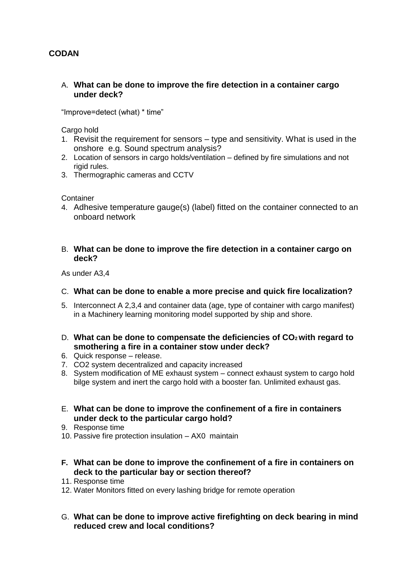# **CODAN**

### A. **What can be done to improve the fire detection in a container cargo under deck?**

"Improve=detect (what) \* time"

Cargo hold

- 1. Revisit the requirement for sensors type and sensitivity. What is used in the onshore e.g. Sound spectrum analysis?
- 2. Location of sensors in cargo holds/ventilation defined by fire simulations and not rigid rules.
- 3. Thermographic cameras and CCTV

**Container** 

4. Adhesive temperature gauge(s) (label) fitted on the container connected to an onboard network

### B. **What can be done to improve the fire detection in a container cargo on deck?**

As under A3,4

## C. **What can be done to enable a more precise and quick fire localization?**

- 5. Interconnect A 2,3,4 and container data (age, type of container with cargo manifest) in a Machinery learning monitoring model supported by ship and shore.
- D. **What can be done to compensate the deficiencies of CO2 with regard to smothering a fire in a container stow under deck?**
- 6. Quick response release.
- 7. CO2 system decentralized and capacity increased
- 8. System modification of ME exhaust system connect exhaust system to cargo hold bilge system and inert the cargo hold with a booster fan. Unlimited exhaust gas.
- E. **What can be done to improve the confinement of a fire in containers under deck to the particular cargo hold?**
- 9. Response time
- 10. Passive fire protection insulation AX0 maintain
- **F. What can be done to improve the confinement of a fire in containers on deck to the particular bay or section thereof?**
- 11. Response time
- 12. Water Monitors fitted on every lashing bridge for remote operation
- G. **What can be done to improve active firefighting on deck bearing in mind reduced crew and local conditions?**